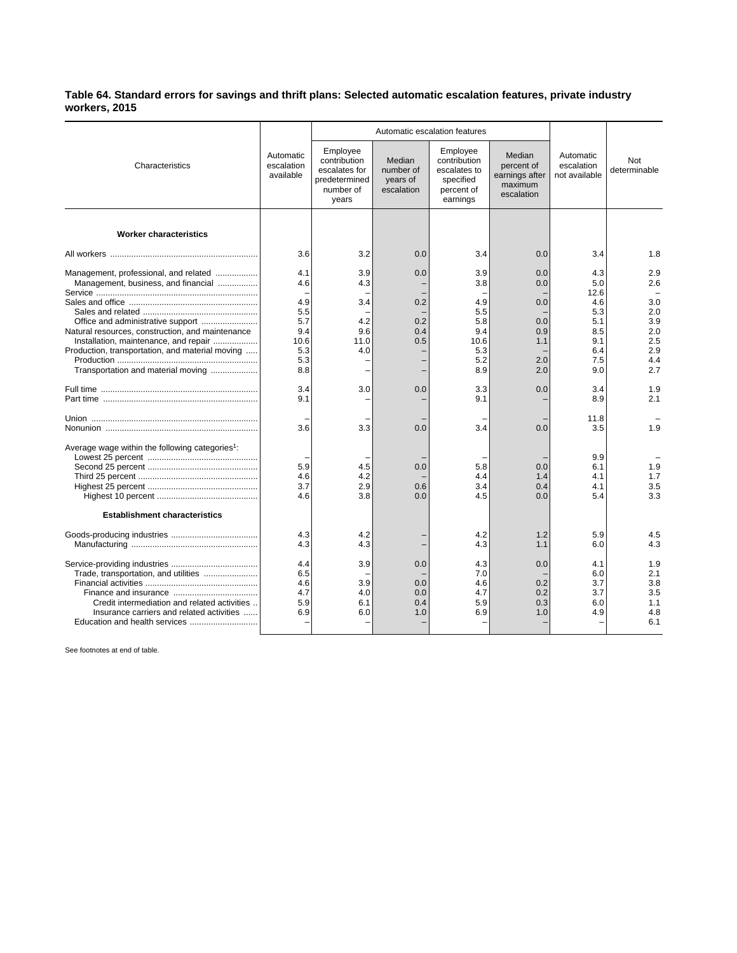## **Table 64. Standard errors for savings and thrift plans: Selected automatic escalation features, private industry workers, 2015**

|                                                                                                                                                                    |                                        | Automatic escalation features                                                    |                                               |                                                                                 |                                                                 |                                          |                                               |
|--------------------------------------------------------------------------------------------------------------------------------------------------------------------|----------------------------------------|----------------------------------------------------------------------------------|-----------------------------------------------|---------------------------------------------------------------------------------|-----------------------------------------------------------------|------------------------------------------|-----------------------------------------------|
| Characteristics                                                                                                                                                    | Automatic<br>escalation<br>available   | Employee<br>contribution<br>escalates for<br>predetermined<br>number of<br>years | Median<br>number of<br>years of<br>escalation | Employee<br>contribution<br>escalates to<br>specified<br>percent of<br>earnings | Median<br>percent of<br>earnings after<br>maximum<br>escalation | Automatic<br>escalation<br>not available | Not<br>determinable                           |
|                                                                                                                                                                    |                                        |                                                                                  |                                               |                                                                                 |                                                                 |                                          |                                               |
| <b>Worker characteristics</b>                                                                                                                                      |                                        |                                                                                  |                                               |                                                                                 |                                                                 |                                          |                                               |
|                                                                                                                                                                    | 3.6                                    | 3.2                                                                              | 0.0                                           | 3.4                                                                             | 0.0                                                             | 3.4                                      | 1.8                                           |
| Management, professional, and related<br>Management, business, and financial                                                                                       | 4.1<br>4.6<br>4.9                      | 3.9<br>4.3<br>3.4                                                                | 0.0<br>0.2                                    | 3.9<br>3.8<br>4.9                                                               | 0.0<br>0.0<br>0.0                                               | 4.3<br>5.0<br>12.6<br>4.6                | 2.9<br>2.6<br>3.0                             |
| Office and administrative support<br>Natural resources, construction, and maintenance                                                                              | 5.5<br>5.7<br>9.4                      | 4.2<br>9.6                                                                       | 0.2<br>0.4                                    | 5.5<br>5.8<br>9.4                                                               | 0.0<br>0.9                                                      | 5.3<br>5.1<br>8.5                        | 2.0<br>3.9<br>2.0                             |
| Installation, maintenance, and repair<br>Production, transportation, and material moving<br>Transportation and material moving                                     | 10.6<br>5.3<br>5.3<br>8.8              | 11.0<br>4.0                                                                      | 0.5                                           | 10.6<br>5.3<br>5.2<br>8.9                                                       | 1.1<br>2.0<br>2.0                                               | 9.1<br>6.4<br>7.5<br>9.0                 | 2.5<br>2.9<br>4.4<br>2.7                      |
|                                                                                                                                                                    | 3.4<br>9.1                             | 3.0                                                                              | 0.0                                           | 3.3<br>9.1                                                                      | 0.0                                                             | 3.4<br>8.9                               | 1.9<br>2.1                                    |
|                                                                                                                                                                    | 3.6                                    | 3.3                                                                              | 0.0                                           | 3.4                                                                             | 0.0                                                             | 11.8<br>3.5                              | 1.9                                           |
| Average wage within the following categories <sup>1</sup> :                                                                                                        | 5.9<br>4.6<br>3.7                      | 4.5<br>4.2<br>2.9                                                                | 0.0<br>0.6                                    | 5.8<br>4.4<br>3.4                                                               | 0.0<br>1.4<br>0.4                                               | 9.9<br>6.1<br>4.1<br>4.1                 | 1.9<br>1.7<br>3.5                             |
| <b>Establishment characteristics</b>                                                                                                                               | 4.6                                    | 3.8                                                                              | 0.0                                           | 4.5                                                                             | 0.0                                                             | 5.4                                      | 3.3                                           |
|                                                                                                                                                                    | 4.3<br>4.3                             | 4.2<br>4.3                                                                       |                                               | 4.2<br>4.3                                                                      | 1.2<br>1.1                                                      | 5.9<br>6.0                               | 4.5<br>4.3                                    |
| Trade, transportation, and utilities<br>Credit intermediation and related activities<br>Insurance carriers and related activities<br>Education and health services | 4.4<br>6.5<br>4.6<br>4.7<br>5.9<br>6.9 | 3.9<br>3.9<br>4.0<br>6.1<br>6.0                                                  | 0.0<br>0.0<br>0.0<br>0.4<br>1.0               | 4.3<br>7.0<br>4.6<br>4.7<br>5.9<br>6.9                                          | 0.0<br>0.2<br>0.2<br>0.3<br>1.0                                 | 4.1<br>6.0<br>3.7<br>3.7<br>6.0<br>4.9   | 1.9<br>2.1<br>3.8<br>3.5<br>1.1<br>4.8<br>6.1 |

See footnotes at end of table.